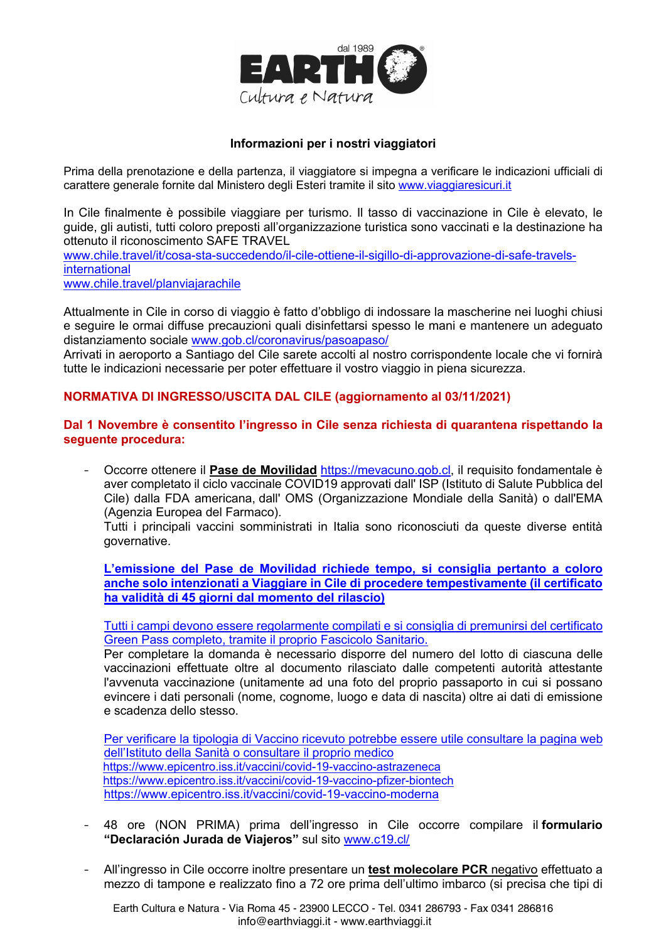

## Informazioni per i nostri viaggiatori

Prima della prenotazione e della partenza, il viaggiatore si impegna a verificare le indicazioni ufficiali di carattere generale fornite dal Ministero degli Esteri tramite il sito www.viaggiaresicuri.it

In Cile finalmente è possibile viaggiare per turismo. Il tasso di vaccinazione in Cile è elevato, le guide, gli autisti, tutti coloro preposti all'organizzazione turistica sono vaccinati e la destinazione ha ottenuto il riconoscimento SAFE TRAVEL

www.chile.travel/it/cosa-sta-succedendo/il-cile-ottiene-il-sigillo-di-approvazione-di-safe-travelsinternational

www.chile.travel/planviajarachile

Attualmente in Cile in corso di viaggio è fatto d'obbligo di indossare la mascherine nei luoghi chiusi e sequire le ormai diffuse precauzioni quali disinfettarsi spesso le mani e mantenere un adequato distanziamento sociale www.gob.cl/coronavirus/pasoapaso/

Arrivati in aeroporto a Santiago del Cile sarete accolti al nostro corrispondente locale che vi fornirà tutte le indicazioni necessarie per poter effettuare il vostro viaggio in piena sicurezza.

## NORMATIVA DI INGRESSO/USCITA DAL CILE (aggiornamento al 03/11/2021)

Dal 1 Novembre è consentito l'ingresso in Cile senza richiesta di quarantena rispettando la seguente procedura:

Occorre ottenere il Pase de Movilidad https://mevacuno.gob.cl, il requisito fondamentale è aver completato il ciclo vaccinale COVID19 approvati dall' ISP (Istituto di Salute Pubblica del Cile) dalla FDA americana, dall' OMS (Organizzazione Mondiale della Sanità) o dall'EMA (Agenzia Europea del Farmaco).

Tutti i principali vaccini somministrati in Italia sono riconosciuti da queste diverse entità governative.

L'emissione del Pase de Movilidad richiede tempo, si consiglia pertanto a coloro anche solo intenzionati a Viaggiare in Cile di procedere tempestivamente (il certificato ha validità di 45 giorni dal momento del rilascio)

Tutti i campi devono essere regolarmente compilati e si consiglia di premunirsi del certificato Green Pass completo, tramite il proprio Fascicolo Sanitario.

Per completare la domanda è necessario disporre del numero del lotto di ciascuna delle vaccinazioni effettuate oltre al documento rilasciato dalle competenti autorità attestante l'avvenuta vaccinazione (unitamente ad una foto del proprio passaporto in cui si possano evincere i dati personali (nome, cognome, luogo e data di nascita) oltre ai dati di emissione e scadenza dello stesso.

Per verificare la tipologia di Vaccino ricevuto potrebbe essere utile consultare la pagina web dell'Istituto della Sanità o consultare il proprio medico https://www.epicentro.iss.it/vaccini/covid-19-vaccino-astrazeneca https://www.epicentro.iss.it/vaccini/covid-19-vaccino-pfizer-biontech https://www.epicentro.iss.it/vaccini/covid-19-vaccino-moderna

- 48 ore (NON PRIMA) prima dell'ingresso in Cile occorre compilare il formulario "Declaración Jurada de Viajeros" sul sito www.c19.cl/
- All'ingresso in Cile occorre inoltre presentare un test molecolare PCR negativo effettuato a  $\mathbf{L}^{\text{max}}$ mezzo di tampone e realizzato fino a 72 ore prima dell'ultimo imbarco (si precisa che tipi di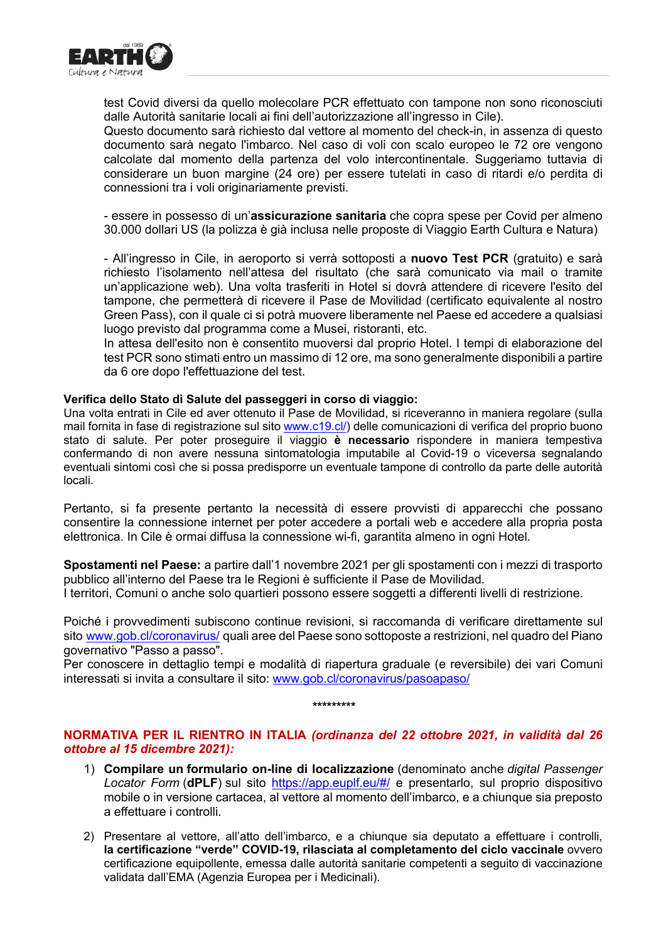

test Covid diversi da quello molecolare PCR effettuato con tampone non sono riconosciuti dalle Autorità sanitarie locali ai fini dell'autorizzazione all'ingresso in Cile).

Questo documento sarà richiesto dal vettore al momento del check-in, in assenza di questo documento sarà negato l'imbarco. Nel caso di voli con scalo europeo le 72 ore vengono calcolate dal momento della partenza del volo intercontinentale. Suggeriamo tuttavia di considerare un buon margine (24 ore) per essere tutelati in caso di ritardi e/o perdita di connessioni tra i voli originariamente previsti.

- essere in possesso di un'assicurazione sanitaria che copra spese per Covid per almeno 30.000 dollari US (la polizza è già inclusa nelle proposte di Viaggio Earth Cultura e Natura)

- All'ingresso in Cile, in aeroporto si verrà sottoposti a nuovo Test PCR (gratuito) e sarà richiesto l'isolamento nell'attesa del risultato (che sarà comunicato via mail o tramite un'applicazione web). Una volta trasferiti in Hotel si dovrà attendere di ricevere l'esito del tampone, che permetterà di ricevere il Pase de Movilidad (certificato equivalente al nostro Green Pass), con il quale ci si potrà muovere liberamente nel Paese ed accedere a qualsiasi luogo previsto dal programma come a Musei, ristoranti, etc.

In attesa dell'esito non è consentito muoversi dal proprio Hotel. I tempi di elaborazione del test PCR sono stimati entro un massimo di 12 ore, ma sono generalmente disponibili a partire da 6 ore dopo l'effettuazione del test.

## Verifica dello Stato di Salute del passeggeri in corso di viaggio:

Una volta entrati in Cile ed aver ottenuto il Pase de Movilidad, si riceveranno in maniera regolare (sulla mail fornita in fase di registrazione sul sito www.c19.cl/) delle comunicazioni di verifica del proprio buono stato di salute. Per poter proseguire il viaggio è necessario rispondere in maniera tempestiva confermando di non avere nessuna sintomatologia imputabile al Covid-19 o viceversa segnalando eventuali sintomi così che si possa predisporre un eventuale tampone di controllo da parte delle autorità locali.

Pertanto, si fa presente pertanto la necessità di essere provvisti di apparecchi che possano consentire la connessione internet per poter accedere a portali web e accedere alla propria posta elettronica. In Cile è ormai diffusa la connessione wi-fi, garantita almeno in ogni Hotel.

Spostamenti nel Paese: a partire dall'1 novembre 2021 per gli spostamenti con i mezzi di trasporto pubblico all'interno del Paese tra le Regioni è sufficiente il Pase de Movilidad.

I territori, Comuni o anche solo quartieri possono essere soggetti a differenti livelli di restrizione.

Poiché i provvedimenti subiscono continue revisioni, si raccomanda di verificare direttamente sul sito www.gob.cl/coronavirus/ quali aree del Paese sono sottoposte a restrizioni, nel quadro del Piano governativo "Passo a passo".

Per conoscere in dettaglio tempi e modalità di riapertura graduale (e reversibile) dei vari Comuni interessati si invita a consultare il sito: www.gob.cl/coronavirus/pasoapaso/

\*\*\*\*\*\*\*\*\*

## NORMATIVA PER IL RIENTRO IN ITALIA (ordinanza del 22 ottobre 2021, in validità dal 26 ottobre al 15 dicembre 2021):

- 1) Compilare un formulario on-line di localizzazione (denominato anche digital Passenger Locator Form (**dPLF**) sul sito https://app.euplf.eu/#/ e presentarlo, sul proprio dispositivo mobile o in versione cartacea, al vettore al momento dell'imbarco, e a chiunque sia preposto a effettuare i controlli.
- 2) Presentare al vettore, all'atto dell'imbarco, e a chiunque sia deputato a effettuare i controlli, la certificazione "verde" COVID-19, rilasciata al completamento del ciclo vaccinale ovvero certificazione equipollente, emessa dalle autorità sanitarie competenti a sequito di vaccinazione validata dall'EMA (Agenzia Europea per i Medicinali).